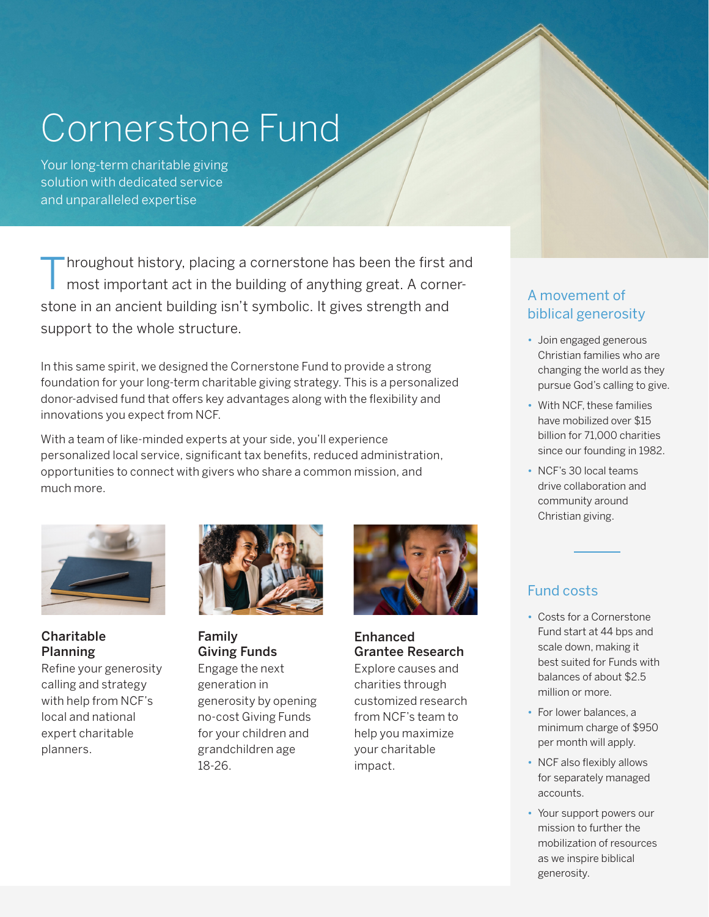# Cornerstone Fund

Your long-term charitable giving solution with dedicated service and unparalleled expertise

Throughout history, placing a cornerstone has been the first and<br>most important act in the building of anything great. A cornerstone in an ancient building isn't symbolic. It gives strength and support to the whole structure.

In this same spirit, we designed the Cornerstone Fund to provide a strong foundation for your long-term charitable giving strategy. This is a personalized donor-advised fund that offers key advantages along with the flexibility and innovations you expect from NCF.

With a team of like-minded experts at your side, you'll experience personalized local service, significant tax benefits, reduced administration, opportunities to connect with givers who share a common mission, and much more.



Charitable Planning

Refine your generosity calling and strategy with help from NCF's local and national expert charitable planners.



Family Giving Funds Engage the next generation in generosity by opening no-cost Giving Funds for your children and grandchildren age 18-26.



### Enhanced Grantee Research

Explore causes and charities through customized research from NCF's team to help you maximize your charitable impact.

## A movement of biblical generosity

- Join engaged generous Christian families who are changing the world as they pursue God's calling to give.
- With NCF, these families have mobilized over \$15 billion for 71,000 charities since our founding in 1982.
- NCF's 30 local teams drive collaboration and community around Christian giving.

## Fund costs

- Costs for a Cornerstone Fund start at 44 bps and scale down, making it best suited for Funds with balances of about \$2.5 million or more.
- For lower balances, a minimum charge of \$950 per month will apply.
- NCF also flexibly allows for separately managed accounts.
- Your support powers our mission to further the mobilization of resources as we inspire biblical generosity.